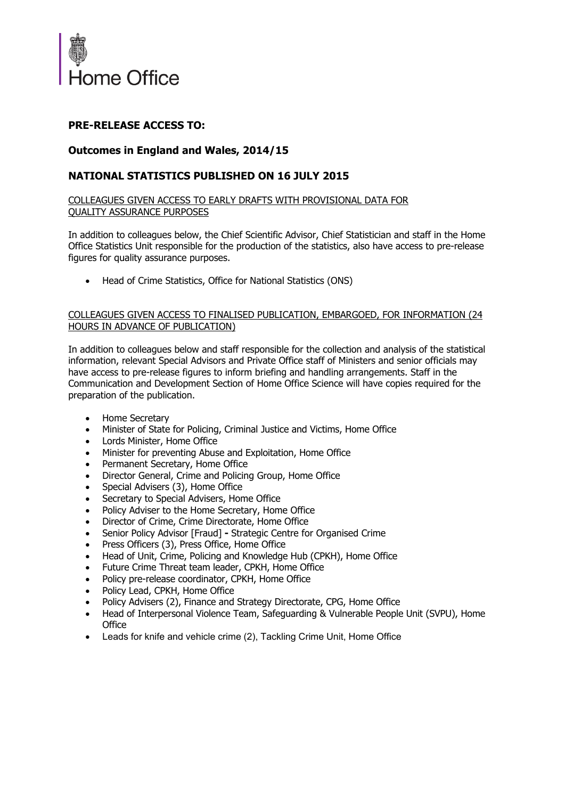

# **PRE-RELEASE ACCESS TO:**

# **Outcomes in England and Wales, 2014/15**

### **NATIONAL STATISTICS PUBLISHED ON 16 JULY 2015**

#### COLLEAGUES GIVEN ACCESS TO EARLY DRAFTS WITH PROVISIONAL DATA FOR QUALITY ASSURANCE PURPOSES

In addition to colleagues below, the Chief Scientific Advisor, Chief Statistician and staff in the Home Office Statistics Unit responsible for the production of the statistics, also have access to pre-release figures for quality assurance purposes.

Head of Crime Statistics, Office for National Statistics (ONS)

#### COLLEAGUES GIVEN ACCESS TO FINALISED PUBLICATION, EMBARGOED, FOR INFORMATION (24 HOURS IN ADVANCE OF PUBLICATION)

In addition to colleagues below and staff responsible for the collection and analysis of the statistical information, relevant Special Advisors and Private Office staff of Ministers and senior officials may have access to pre-release figures to inform briefing and handling arrangements. Staff in the Communication and Development Section of Home Office Science will have copies required for the preparation of the publication.

- Home Secretary
- Minister of State for Policing, Criminal Justice and Victims, Home Office
- Lords Minister, Home Office
- Minister for preventing Abuse and Exploitation, Home Office
- Permanent Secretary, Home Office
- Director General, Crime and Policing Group, Home Office
- Special Advisers (3), Home Office
- Secretary to Special Advisers, Home Office
- Policy Adviser to the Home Secretary, Home Office
- Director of Crime, Crime Directorate, Home Office
- Senior Policy Advisor [Fraud]Strategic Centre for Organised Crime
- Press Officers (3), Press Office, Home Office
- Head of Unit, Crime, Policing and Knowledge Hub (CPKH), Home Office
- Future Crime Threat team leader, CPKH, Home Office
- Policy pre-release coordinator, CPKH, Home Office
- Policy Lead, CPKH, Home Office
- Policy Advisers (2), Finance and Strategy Directorate, CPG, Home Office
- Head of Interpersonal Violence Team, Safeguarding & Vulnerable People Unit (SVPU), Home **Office**
- Leads for knife and vehicle crime (2), Tackling Crime Unit, Home Office